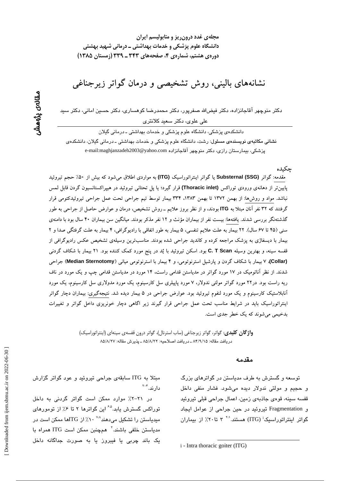نشانههای بالینی، روش تشخیصی و درمان گواتر زیرجناغی

دکتر منوچهر آقاجانزاده، دکتر فیضالله صفرپور، دکتر محمدرضا کوهساری، دکتر حسین امانی، دکتر سید علی علوی، دکتر سعید کلانتری

دانشکدهی پزشکی، دانشگاه علوم پزشکی و خدمات بهداشتی ـ درمانی گیلان نشانی مکاتبهی نویسندهی مسئول: رشت، دانشگاه علوم پزشکی و خدمات بهداشتی ـ درمانی گیلان، دانشکدهی پزشكى، بيمارستان رازى، دكتر منوچهر آقاجانزادە e-mail:maghjanzadeh2003@yahoo.com

جكىدە

مقدمه: گواتر (Substernal (SSG یا گواتر اینتراتوراسیک (ITG) به مواردی اطلاق میشود که بیش از ۵۰٪ حجم تیروئید پایین تر از دهانهی ورودی توراکس (Thoracic inlet) قرار گیرد؛ یا پل تحتانی تیروئید در هیپراکستانسیون گردن قابل لمس نباشد. مواد و روشها: از بهمن ۱۳۷۲ تا بهمن ۱۳۸۳، ۳۳۴ بیمار توسط تیم جراحی تحت عمل جراحی تیروئیدکتومی قرار گرفتند که ۳۲ نفر آنان مبتلا به ITG بودند، و از نظر بروز علایم ـ روش تشخیص، درمان و عوارض حاصل از جراحی به طور گذشتهنگر بررسی شدند. یافتهها: بیست نفر از بیماران مؤنث و ۱۲ نفر مذکر بودند. میانگین سن بیماران ۴۰ سال بود با دامنهی سنی (۴۵ تا ۶۷ سال). ۲۲ بیمار به علت علایم تنفسی، ۵ بیمار به طور اتفاقی با رادیوگرافی، ۴ بیمار به علت گرفتگی صدا و ۲ بیمار با دیسفاژی به پزشک مراجعه کرده و کاندید جراحی شده بودند. مناسبترین وسیلهی تشخیص عکس رادیوگرافی از قفسه سینه، و بهترین وسیله C. T Scan بود. اسکن تیروئید با یُد در پنج مورد کمک کننده بود. ۲۱ بیمار با شکاف گردنبی (Collar)، ۷ بیمار با شکاف گردن و پارشیل استرنوتومی، و ۴ بیمار با استرنوتومی میانی (Median Sternotomy) جراحی شدند. از نظر آناتومیک در ۱۷ مورد گواتر در مدیاستن قدامی راست، ۱۴ مورد در مدیاستن قدامی چپ و یک مورد در ناف ریه راست بود. در۲۲ مورد گواتر مولتی ندولار، ۷ مورد پاپیلری سل کارسینوم، یک مورد مدولاری سل کارسینوم، یک مورد آنابلاستیک کارسینوم و یک مورد لنفوم تیروئید بود. عوارض جراحی در ۵ بیمار دیده شد. نتیجهگیری: بیماران دچار گواتر اینتراتوراسیک باید در شرایط مناسب تحت عمل جراحی قرار گیرند زیر اگاهی دچار خونریزی داخل گواتر و تغییرات بدخیمی می شوند که یک خطر جدی است.

> **واژگان کلیدی**: گواتر، گواتر زیرجناغی (ساب استرنال)، گواتر درون قفسهی سینهای (اینتراتوراسیک) دريافت مقاله: ٨۴/٩/١۵ ـ دريافت اصلاحيه: ٨٥/٨/٢٢ ـ يذيرش مقاله: ٨٥/٨/٢٧

#### مقدمه

توسعه و گسترش به طرف مدیاستن در گواترهای بزرگ و حجيم و مولتي ندولار ديده مي شود. فشار منفي داخل قفسه سينه، قومي جاذبهي زمين، اعمال جراحي قبلي تبروئيد و Fragmentation تیروئید در حین جراحی از عوامل ایجاد گواتر اینتراتوراسیک<sup>:</sup> (ITG) هستند.<sup>۲۰</sup> ۳ تا۲۰٪ از بیماران

مبتلا به ITG سابقهی جراحی تیروئید و عود گواتر گزارش دار ند. <sup>۲-۴</sup>

در ۲۱–۲٪ موارد ممکن است گواتر گردنی به داخل توراکس گسترش پابد.<sup>۲۵</sup> این گواترها ۲ تا ۰٫۶ از تومورهای میدیاستن را تشکیل میدهند<sup>۷۰۸ ۰</sup> ۱٪ از ITGها ممکن است در مدیاستن خلفی باشند.<sup>۲</sup> همچنبن ممکن است ITG همراه با یک باند چربی یا فیبروز یا به صورت جداگانه داخل

*i* - Intra thoracic goiter (ITG)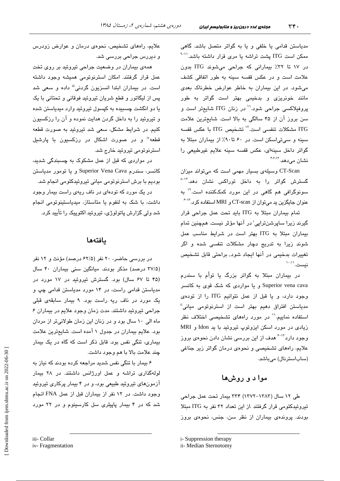مدیاستن قدامی یا خلفی و یا به گواتر متصل باشد. گاهی ممکن است ITG یشت تراشه یا مری قرار داشته باشد.<sup>۱۱-۹</sup> در ١٧ تا ٣٢٪ بيماراني كه جراحي مي شوند ITG بدون علامت است و در عکس قفسه سینه به طور اتفاقی کشف می شود. در این بیماران به خاطر عوارض خطرناک بعدی مانند خونریزی و بدخیمی بهتر است گواتر به طور پروفیلاکسی جراحی شود.<sup>\\</sup> در زنان ITG شایعتر است و سن بروز آن از ۴۵ سالگی به بالا است. شایعترین علامت ITG مشكلات تنفسى است.<sup>71</sup> تشخيص ITG با عكس قفسه سینه و سیتی اسکن است. در ۶۰ تا۹۰٪ از بیماران مبتلا به گواتر داخل سينهاى، عكس قفسه سينه علايم غيرطبيعى را نشان مے دھد. ۴۶۸۳

CT-Scan وسیلهی بسیار مهمی است که میتواند میزان گسترش گواتر را به داخل توراکس نشان دهد.<sup>۱۳ـ۸</sup> سونوگرافی هم گاهی در این مورد کمککننده است.<sup>۱۲</sup> به عنوان جایگزین ید میتوان از CT-scan و MRI استفاده کرد.<sup>۱۳-۶</sup>

تمام بيماران مبتلا به ITG بايد تحت عمل جراحي قرار گیرند زیرا ساپرشنڌراپی<sup>؛</sup> در آنها مؤثر نیست. همچنین تمام بیماران مبتلا به ITG بهتر است در شرایط مناسب عمل شوند زیرا به تدریج دچار مشکلات تنفسی شده و اگر تغییرات بدخیمی در آنها ایجاد شود, براحتی قابل تشخیص نست. اسا

در بیماران مبتلا به گواتر بزرگ یا توأم با سندرم Superior vena cava و یا مواردی که شک قوی به کانسر وجود دارد، و یا قبل از عمل نتوانیم ITG را از تودهی مدیاستن افتراق دهیم بهتر است از استرنوتوم*ی* میانی<sup>ة</sup> استفاده نماییم.'' در مورد راههای تشخیصی اختلاف نظر زیادی در مورد اسکن ایزوتوپ تیروئید با ید Idon و MRI وجود دارد<sup>۲۰۱۳</sup> هدف از این بررس*ی* نشان دادن نحوه*ی* بروز علایم، راههای تشخیصی و نحوهی درمان گواتر زیر جناغی (ساباسترنال) میباشد.

# موا د و روشها

طی ۱۲ سال (۱۳۸۳–۱۳۷۲) ۳۳۴ بیمار تحت عمل جراحی تیروئیدکتومی قرار گرفتند .از این تعداد ۳۲ نفر به ITG مبتلا بودند. پروندهی بیماران از نظر سن، جنس، نجوهی بروز

علایم، راههای تشخیص، نحوهی درمان و عوارض زودرس و ديررس جرا*حي* بررس*ي* شد.

همهی بیماران در وضعیت جراحی تیروئید بر روی تخت عمل قرار گرفتند. امکان استرنوتومی همیشه وجود داشته است. در بیماران ایتدا انسزیون گردنی<sup>iii</sup> داده و سعی شد پس از لیگاتور و قطع شریان تیروئید فوقانی و تحتانی با یک يا دو انگشت چسبيده به کپسول تيروئيد وارد ميدياستن شده و تیروئید را به داخل گردن هدایت نموده و آن را رزکسیون کنیم. در شرایط مشکل، سعی شد تیروئید به صورت قطعه قطعه" و در صورت اشکال در رزکسیون با پارشیل استرنوتومي تيروئيد خارج شد.

در مواردی که قبل از عمل مشکوک به چسبندگی شدید، كانسر، سندرم Superior Vena Cava و يا تومور مدياستن بودیم با برش استرنوتومی میانی تیروئیدکتومی انجام شد.

در یک مورد که تودهای در ناف ریهی راست بیمار وجود داشت، با شک به لنفوم یا متاستاز، میدیاستینوتومی انجام شد ولی گزارش پاتولوژی، تیروئید اکتوپیک را تأیید کرد.

### بافتهها

در بررسی حاضر، ۲۰ نفر (۶۲/۵ درصد) مؤنث و ۱۲ نفر (۳۷/۵ درصد) مذکر بودند. میانگین سنی بیماران ۴۰ سال (۴۵ تا ۶۷ سال) بود. گسترش تیروئید در ۱۷ مورد در مدیاستن قدامی راست، در ۱۴ مورد مدیاستن قدامی چپ و یک مورد در ناف ریه راست بود. ۹ بیمار سابقهی قبلی جراحی تیروئید داشتند. مدت زمان وجود علایم در بیماران ۶ ماه الی ۱۰ سال بود و در زنان این زمان طولانیتر از مردان بود. علایم بیماران در جدول ۱ آمده است. شایعترین علامت بیماری، تنگی نفس بود. قابل ذکر است که گاه در یک بیمار چند علامت بالا با هم وجود داشت.

۶ بیمار با تنگی نفس شدید مراجعه کرده بودند که نیاز به لولهگذاری تراشه و عمل اورژانس داشتند. در ۲۸ بیمار آزمونهای تیروئید طبیعی بود، و در ۴ بیمار پرکاری تیروئید وجود داشت. در ١٢ نفر از بيماران قبل از عمل FNA انجام شد که در ۴ بیمار پاپیلری سل کارسینوم و در ۲۲ مورد

i- Suppression therapy

ii- Median Sternotomy

iii- Collar

iv-Fragmentation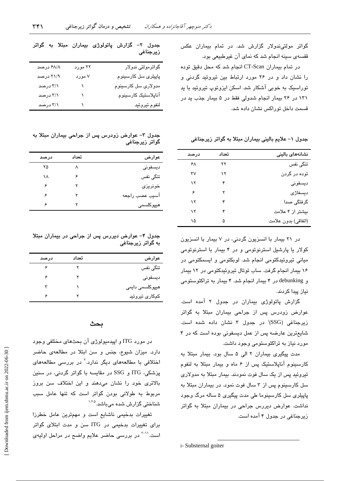در تمام بیماران CT-Scan انجام شد که محل دقیق توده را نشان داد و در ۲۶ مورد ارتباط بین تیروئید گردنی و توراسیک به خوبی آشکار شد. اسکن ایزوتوپ تیروئید یا بد ١٣١ در ٢۶ بيمار انجام شدولي فقط در ۵ بيمار جذب يد در قسمت داخل توراکس نشان داده شد.

قفسهی سینه انجام شد که نمای آن غیرطبیعی بود.

جدول ۱– علایم بالینی بیماران مبتلا به گواتر زیرجناغی

| نشانههای بالینی     | تعداد | درصد |
|---------------------|-------|------|
| تنگی نفس            | ۲۲    | ۶۸   |
| توده در گردن        | ۱۲    | ٣٧   |
| ديسفونى             | ۴     | ۱۲   |
| ديسفاژی             | ۲     | ۶    |
| گرفتگی صدا          | ۴     | ۱۲   |
| بیشتر از ۴ علامت    | ۴     | ۱۲   |
| (اتفاقي) بدون علامت | ۵     | ۱۵   |

در ۲۱ بیمار با انسزیون گردنی، در ۷ بیمار با انسزیون کولار یا پارشیل استرنوتومی و در ۴ بیمار با استرنوتومی میانی تیروئیدکتومی انجام شد. لوبکتومی و ایسمکتومی در ۱۶ بیمار انجام گرفت. ساب توتال تیروئیدکتومی در ۱۲ بیمار و debunking در ۴ بیمار انجام شد. ۴ بیمار به تراکئوستومی نياز پيدا كردند.

گزارش پاتولوژی بیماران در جدول ۲ آمده است. عوارض زودرس پس از جراحی بیماران مبتلا به گواتر زیرجناغی (SSG<sup>)</sup> در جدول ۳ نشان داده شده است. شایع ترین عارضه پس از عمل دیسفونی بوده است که در ۴ مورد نیاز به تراکئوستومی وجود داشت.

مدت پیگیری بیماران ۲ الی ۵ سال بود. بیمار مبتلا به کارسینوم آناپلاستیک پس از ۶ ماه و بیمار مبتلا به لنفوم تیروئید پس از یک سال فوت نمودند. بیمار مبتلا به مدولاری سل کارسینوم پس از ۳ سال فوت نمود. در بیماران مبتلا به پاپیلری سل کارسینوما طی مدت پیگیری ۵ ساله مرگ وجود نداشت. عوارض دیررس جراحی در بیماران مبتلا به گواتر زیرجناغی در جدول ۴ آمده است.

جدول ۲– گزارش پاتولوژی بیماران مبتلا به گواتر زيرجناغى

| گواترمولتی ندولار           | ۲۲ مورد | ۶۸/۸ درصد |
|-----------------------------|---------|-----------|
| پاپیلر <i>ی</i> سل کارسینوم | ۷ مورد  | ۲۱/۹ درصد |
| مدولاری سل کارسینوم         |         | ۳/۱ درصد  |
| آناپلاستیک کارسینوم         |         | ۳/۱ درصد  |
| لنفوم تيروئيد               |         | ۳/۱ درصد  |

جدول ٣- عوارض زودرس پس از جراحی بیماران مبتلا به گواتر زيرجناغي

| عوارض             | تعداد | درصد |
|-------------------|-------|------|
| ديسفونى           | л     | ۲۵   |
| تنگی نفس          | ۶     | ۱۸   |
| خونريز <i>ى</i>   | ۲     | ۶    |
| آسيب عصب راجعه    | ۲     | ۶    |
| ھیپرکلسم <i>ی</i> |       | ۶    |
|                   |       |      |

جدول ۴- عوارض دیررس پس از جراحی در بیماران مبتلا به گواتر زیرجناغی

| عوارض           | تعداد | درصد |
|-----------------|-------|------|
| تنگی نفس        |       | ۶    |
| ديسفونى         |       | ۶    |
| ھیپرکلسمی دایمی |       |      |
| کمکاری تیروئید  |       | ç    |
|                 |       |      |

### بحث

در مورد ITG و اپیدمبولوژی آن بحثهای مختلفی وجود دارد. میزان شیوع، جنس و سن ابتلا در مطالعهی حاضر اختلافی با مطالعههای دیگر ندارد.<sup>۲</sup> در بررسی مطالعههای یزشکی، ITG و SSG در مقایسه با گواتر گردنی، در سنین بالاتری خود را نشان میدهند و این اختلاف سن بروز مربوط به طولانی بودن گواتر است که تنها عامل سبب شناختی گزارش شده میباشد.<sup>۱،۲،۵</sup>

تغییرات بدخیمی ناشایع است و مهمترین عامل خطرزا برای تغییرات بدخیمی در ITG سن و مدت ابتلای گواتر است.<sup>۱۱-۲</sup> در بررسی حاضر علایم واضح در مراحل اولیهی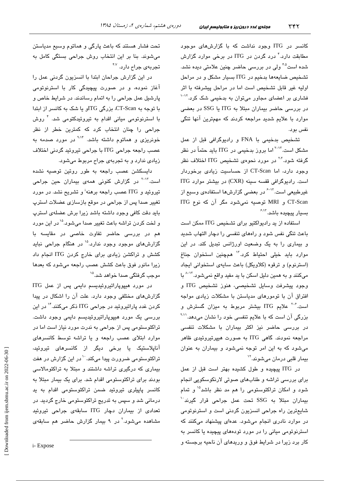٣۴٢

کانسر در ITG وجود نداشت که با گزارشهای موجود مطابقت دارد.<sup>۲</sup> درد گردن در ITG در برخی موارد گزارش شده است<sup>۴۵</sup> ولی در بررسی حاضر چنین علامتی دیده نشد. تشخيص ضايعهها بدخيم در ITG بسيار مشكل و در مراحل اولیه غیر قابل تشخیص است اما در مراحل پیشرفته با اثر فشاری بر اعضای مجاور میتوان به بدخیمی شک کرد.<sup>۱۲-۱</sup> در بررسی حاضر بیماران مبتلا به ITG یا SSG در بعضی موارد با علایم شدید مراجعه کردند که مهمترین آنها تنگی نفس يو.د.

تشخیص بدخیمی با FNA و رادیوگرافی قبل از عمل مشکل است.<sup>۲-۱۳</sup> اما بروز بدخیمی در ITG باید حتماً در نظر گرفته شود.<sup>۲۰۲</sup> در مورد نحوهی تشخیص ITG اختلاف نظر وجود دارد، اما CT-Scan از حساسیت زیادی برخوردار است. رادیوگرافی قفسه سینه (CXR) در بیشتر موارد ITG غیرطبیعی است.<sup>۱۳-۶</sup> در بعضی گزارشها استفادهی وسیع از CT-Scan و MRI توصیه نمیشود مگر آن که نوع ITG سىبار يىچىدە باشد. <sup>۶،۱۳</sup>

استفاده از ید رادیواکتیو برای تشخیص ITG ممکن است باعث تنگی نفس شود و راههای تنفسی را دچار التهاب شدید و بیماری را به یک وضعیت اورژانس تبدیل کند. در این موارد بايد خيلى احتياط كرد.<sup>١٢</sup> همچنين استخوان جناغ (استرنوم) و ترقوه (كلاويكل) باعث سايهى استخوانى ايجاد میکنند و به همین دلیل اسکن با ید مفید واقع نمیشود.<sup>۱۳–۸</sup> با وجود پیشرفت وسایل تشخیصی، هنوز تشخیص ITG و افتراق آن با تومورهای مدیاستن با مشکلات زیادی مواجه است.<sup>۶-۶</sup> علایم ITG بیشتر مربوط به میزان گسترش و بزرگی آن است که با علایم تنفسی خود را نشان میدهد.<sup>۹٬۱۱</sup> در بررسی حاضر نیز اکثر بیماران با مشکلات تنفسی مراجعه نمودند. گاهی ITG به صورت هیپرتیروئیدی ظاهر میشود که به این امر توجه نمیشود و بیماران به عنوان بیمار قلبی درمان میشوند.<sup>۱۲</sup>

در ITG پیچیده و طول کشیده بهتر است قبل از عمل برای بررسی تراشه و طنابهای صوتی لارنکوسکویی انجام شود و امکان تراکئوستومی را هم مد نظر باشد<sup>۱۵</sup> و تمام بيماران مبتلا به SSG تحت عمل جراحى قرار گيرند<sup>.\</sup> شايعترين راه جراحى انسزيون گردنى است و استرنوتومى در موارد نادری انجام میشود. عدهای پیشنهاد میکنند که استرنوتومی میانی را در مورد تودههای پیچیده یا کانسر به کار برد زیرا در شرایط فوق و وریدهای آن ناحیه برجسته و

تحت فشار هستند که باعث پارگی و هماتوم وسیع مدیاستن میشوند. بنا بر این انتخاب روش جراحی بستگی کامل به تجربه*ی* جراح دارد. <sup>۴،۷</sup>

در این گزارش جراحان ابتدا با انسزیون گردنی عمل را آغاز نموده، و در صورت پیچیدگی کار با استرنوتومی پارشیل عمل جراحی را به اتمام رساندند. در شرایط خاص و با توجه به CT-Scan، بزرگی ITGو یا شک به کانسر از ابتدا با استرنوتومی میانی اقدام به تیروئیدکتومی شد. <sup>۴</sup> روش جراحی را چنان انتخاب کرد که کمترین خطر از نظر خونریز*ی* و هماتوم داشته باشد. <sup>۹،۱۴</sup> در مورد صدمه به عصب راجعه جراحي ITG با جراحي تيروئيد گردني اختلاف زیادی ندارد و به تجربهی جراح مربوط میشود.

دایسکشن عصب راجعه به طور روتین توصیه نشده است.<sup>۱۲-۲</sup> در گزارش کنونی همهی بیماران حین جراحی تیروئید و ITG عصب راجعه برهنه<sup>ن</sup>و تشریح نشد. در مورد تغییر صدا پس از جراحی در موقع بازسازی عضلات استرپ بايد دقت كافى وجود داشته باشد زيرا برش عضلهى استرپ و لخت کردن تراشه باعث تغییر صدا میشود.<sup>۱۵</sup> در این مورد هم در بررسی حاضر تفاوت خاصی در مقایسه با گزارشهای موجود وجود ندارد.<sup>۱۵</sup> در هنگام جراحی نباید کشش و تراکشن زیادی برای خارج کردن ITG انجام داد زیرا مانور فوق باعث کشش عصب راجعه میشود که بعدها موجب گرفتگی صدا خوا*هد* شد.<sup>۱۵</sup>

در مورد هیپوپاراتیروئیدیسم دایمی پس از عمل ITG گزارشهای مختلفی وجود دارد. علت آن را اشکال در پیدا کردن غدد پاراتیروئید در جراحی ITG ذکر میکنند.<sup>۱۴</sup> در این بررسی یک مورد هیپوپاراتیروئیدیسم دایمی وجود داشت. تراکئوستومی پس از جراحی به ندرت مورد نیاز است اما در موارد ابتلای عصب راجعه و یا تراشه توسط کانسرهای آناپلاستیک یا برخی دیگر از کانسرهای تیروئید، تراکئوستومی ضرورت پیدا میکند. `` در این گزارش در هفت بیماری که درگیری تراشه داشتند و مبتلا به تراکئومالاسی بودند برای تراکئوستومی اقدام شد. برای یک بیمار مبتلا به کانسر پاپیلری تیروئید ضمن تراکئوستومی اقدام به ید درمانی شد و سپس به تدریج تراکئوستومی خارج گردید. در تعدادی از بیماران دچار ITG سابقهی جراحی تیروئید مشاهده میشود<sup>.۲</sup> در ۹ بیمار گزارش حاضر هم سابقه*ی*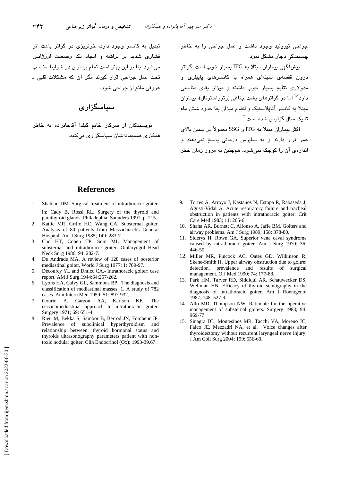.<br>تبدیل به کانسر وجود دارد، خونریزی در گواتر باعث اثر .<br>فشاری شدید بر تراشه و ایجاد یک وضعیت اورژانس مرشود. بنا بر این بهتر است تمام بیماران در شرایط مناسب تحت عمل جراحے قرار گیرند مگر آن که مشکلات قلبی ـ عروقي مانع ان حراجي شود.

## س**پاسگزار***ی*

.<br>نویسندگان از سرکار خانم گیلدا آقاجانزاده به خاطر همکاری صمیمانهشان سیاسگزاری میکنند. حراجی تبروئید وجود داشت و عمل حراجی را به خاطر جسیندگی دچار مشکل نمو د.

.<br>پیشآگهی بیماران مبتلا به ITG بسیار خوب است. گواتر درون قفسه*ی سیدهای ه*مراه با کانسرها*ی ب*ایی*لری* و مده لاری نتایج بسیار خوب داشته و میزان بقای مناسبی دار د<sup>۱۰۲</sup> اما در گواترهای بشت جناغی (رترواسترنال)، بیماران مبتلا به کانسر آنابلاستیک و لنفوج میزان بقا جدود شش ماه تا یک سال گزار ش شده است.<sup>۴</sup>

اکثر بیماران مبتلا به ITG و SSG معمولاً در سنین بالای ء<br>عمر قرار دارند و به سایرس درمانی باسخ نم*ی*دهند و انداز دی آن را کوچک نمے شود. همچنین به مرور زمان خطر

#### **References**

- 1. Shahlan DM*.* Surgical treatment of intrathoracic goiter. in: Cady B, Rossi RL. Surgery of the thyroid and parathyroid glands. Philadephia: Saunders 1991. p. 215.
- 2. Katlic MR, Grillo HC, Wang CA. Substernal goiter. Analysis of 80 patients from Massachusetts General Hospital. Am J Surg 1985; 149: 283-7.
- 3. Cho HT, Cohen TP, Som ML Management of substernal and intrathoracic goiter. Otalaryngol Head Neck Surg 1986: 94: 282-7.
- 4. De Andrade MA. A review of 128 cases of posterior mediastinal goiter. World J Surg 1977; 1: 789-97.
- 5. Decourcy YL and Dhticc CA.- Intrathoracic goiter: case report. AM J Surg.1944:64:257-262.
- 6. Lyons HA, Calvy GL, Sammons BP. The diagnosis and classification of mediastinal masses. 1. A study of 782 cases. Ann Intern Med 1959; 51: 897-932.
- 7. Gourin A, Garzon AA, Karlson KE. The cervicomediastinal approach to intrathoracic goiter. Surgery 1971; 69: 651-4.
- 8. Rieu M, Bekka S, Sambor B, Berrod JN, Fombeur JP. Prevalence of subclinical hyperthyroidism and relationship between. thyroid hormonal status and thyroids ultrasonography parameters patient with nontoxic nodular goiter. Clin Endocrinol (Ox); 1993-39.67.
- 9. Torres A, Arroyo J, Kastanos N, Estopa R, Rabaseda J, Agusti-Vidal A. Acute respiratory failure and tracheal obstruction in patients with intrathoracic goiter. Crit Care Med 1983; 11: 265-6.
- 10. Shaha AR, Burnett C, Alfonso A, Jaffe BM. Goiters and airway problems. Am J Surg 1989; 158: 378-80.
- 11. Siderys H, Rowe GA. Superior vena caval syndrome caused by intrathoracic goiter. Am J Surg 1970; 36: 446-50.
- 12. Miller MR, Pincock AC, Oates GD, Wilkinson R, Skene-Smith H. Upper airway obstruction due to goitre: detection, prevalence and results of surgical management. Q J Med 1990; 74: 177-88.
- 13. Park HM, Tarver RD, Siddiqui AR, Schauwecker DS, Wellman HN. Efficacy of thyroid scintigraphy in the diagnosis of intrathoracic goiter. Am J Roentgenol 1987; 148: 527-9.
- 14. Allo MD, Thompson NW. Rationale for the operative management of substernal goiters. Surgery 1983; 94: 969-77.
- 15. Sinagra DL, Montesinos MR, Tacchi VA, Moreno JC, Falco JE, Mezzadri NA, et al. Voice changes after thyroidectomy without recurrent laryngeal nerve injury. J Am Coll Surg 2004; 199: 556-60.